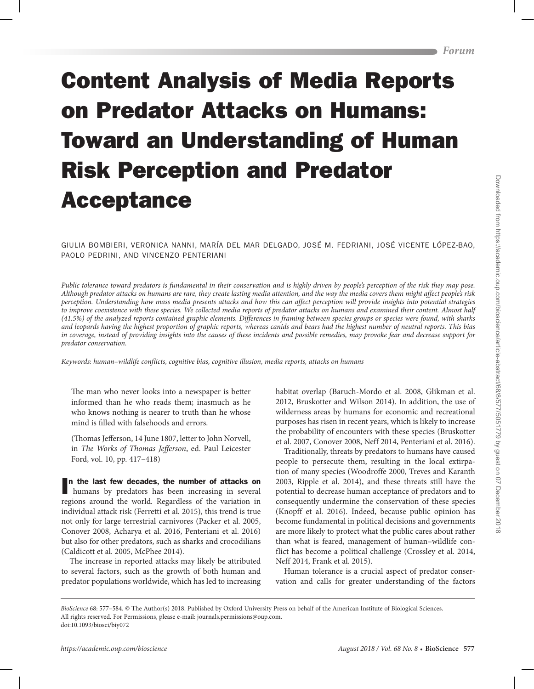# Content Analysis of Media Reports on Predator Attacks on Humans: Toward an Understanding of Human Risk Perception and Predator Acceptance

GIULIA BOMBIERI, VERONICA NANNI, MARÍA DEL MAR DELGADO, JOSÉ M. FEDRIANI, JOSÉ VICENTE LÓPEZ-BAO, PAOLO PEDRINI, AND VINCENZO PENTERIANI

*Public tolerance toward predators is fundamental in their conservation and is highly driven by people's perception of the risk they may pose. Although predator attacks on humans are rare, they create lasting media attention, and the way the media covers them might affect people's risk perception. Understanding how mass media presents attacks and how this can affect perception will provide insights into potential strategies*  to improve coexistence with these species. We collected media reports of predator attacks on humans and examined their content. Almost half *(41.5%) of the analyzed reports contained graphic elements. Differences in framing between species groups or species were found, with sharks and leopards having the highest proportion of graphic reports, whereas canids and bears had the highest number of neutral reports. This bias in coverage, instead of providing insights into the causes of these incidents and possible remedies, may provoke fear and decrease support for predator conservation.*

*Keywords: human–wildlife conflicts, cognitive bias, cognitive illusion, media reports, attacks on humans*

The man who never looks into a newspaper is better informed than he who reads them; inasmuch as he who knows nothing is nearer to truth than he whose mind is filled with falsehoods and errors.

(Thomas Jefferson, 14 June 1807, letter to John Norvell, in *The Works of Thomas Jefferson*, ed. Paul Leicester Ford, vol. 10, pp. 417–418)

I n the last few decades, the number of attacks on humans by predators has been increasing in several regions around the world. Regardless of the variation in individual attack risk (Ferretti et al. 2015), this trend is true not only for large terrestrial carnivores (Packer et al. 2005, Conover 2008, Acharya et al. 2016, Penteriani et al. 2016) but also for other predators, such as sharks and crocodilians (Caldicott et al. 2005, McPhee 2014).

The increase in reported attacks may likely be attributed to several factors, such as the growth of both human and predator populations worldwide, which has led to increasing habitat overlap (Baruch-Mordo et al. 2008, Glikman et al. 2012, Bruskotter and Wilson 2014). In addition, the use of wilderness areas by humans for economic and recreational purposes has risen in recent years, which is likely to increase the probability of encounters with these species (Bruskotter et al. 2007, Conover 2008, Neff 2014, Penteriani et al. 2016).

Traditionally, threats by predators to humans have caused people to persecute them, resulting in the local extirpation of many species (Woodroffe 2000, Treves and Karanth 2003, Ripple et al. 2014), and these threats still have the potential to decrease human acceptance of predators and to consequently undermine the conservation of these species (Knopff et al. 2016). Indeed, because public opinion has become fundamental in political decisions and governments are more likely to protect what the public cares about rather than what is feared, management of human–wildlife conflict has become a political challenge (Crossley et al. 2014, Neff 2014, Frank et al. 2015).

Human tolerance is a crucial aspect of predator conservation and calls for greater understanding of the factors

*BioScience* 68: 577–584. © The Author(s) 2018. Published by Oxford University Press on behalf of the American Institute of Biological Sciences. All rights reserved. For Permissions, please e-mail: journals.permissions@oup.com. doi:10.1093/biosci/biy072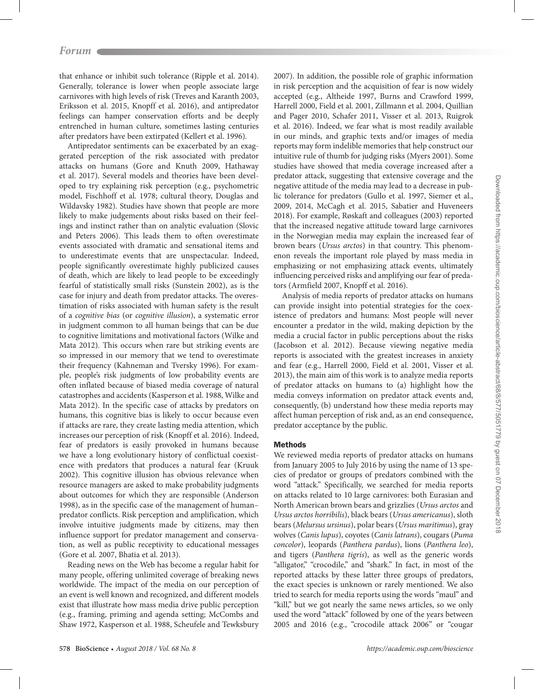that enhance or inhibit such tolerance (Ripple et al. 2014). Generally, tolerance is lower when people associate large carnivores with high levels of risk (Treves and Karanth 2003, Eriksson et al. 2015, Knopff et al. 2016), and antipredator feelings can hamper conservation efforts and be deeply entrenched in human culture, sometimes lasting centuries after predators have been extirpated (Kellert et al. 1996).

Antipredator sentiments can be exacerbated by an exaggerated perception of the risk associated with predator attacks on humans (Gore and Knuth 2009, Hathaway et al. 2017). Several models and theories have been developed to try explaining risk perception (e.g., psychometric model, Fischhoff et al. 1978; cultural theory, Douglas and Wildavsky 1982). Studies have shown that people are more likely to make judgements about risks based on their feelings and instinct rather than on analytic evaluation (Slovic and Peters 2006). This leads them to often overestimate events associated with dramatic and sensational items and to underestimate events that are unspectacular. Indeed, people significantly overestimate highly publicized causes of death, which are likely to lead people to be exceedingly fearful of statistically small risks (Sunstein 2002), as is the case for injury and death from predator attacks. The overestimation of risks associated with human safety is the result of a *cognitive bias* (or *cognitive illusion*), a systematic error in judgment common to all human beings that can be due to cognitive limitations and motivational factors (Wilke and Mata 2012). This occurs when rare but striking events are so impressed in our memory that we tend to overestimate their frequency (Kahneman and Tversky 1996). For example, people's risk judgments of low probability events are often inflated because of biased media coverage of natural catastrophes and accidents (Kasperson et al. 1988, Wilke and Mata 2012). In the specific case of attacks by predators on humans, this cognitive bias is likely to occur because even if attacks are rare, they create lasting media attention, which increases our perception of risk (Knopff et al. 2016). Indeed, fear of predators is easily provoked in humans because we have a long evolutionary history of conflictual coexistence with predators that produces a natural fear (Kruuk 2002). This cognitive illusion has obvious relevance when resource managers are asked to make probability judgments about outcomes for which they are responsible (Anderson 1998), as in the specific case of the management of human– predator conflicts. Risk perception and amplification, which involve intuitive judgments made by citizens, may then influence support for predator management and conservation, as well as public receptivity to educational messages (Gore et al. 2007, Bhatia et al. 2013).

Reading news on the Web has become a regular habit for many people, offering unlimited coverage of breaking news worldwide. The impact of the media on our perception of an event is well known and recognized, and different models exist that illustrate how mass media drive public perception (e.g., framing, priming and agenda setting; McCombs and Shaw 1972, Kasperson et al. 1988, Scheufele and Tewksbury

2007). In addition, the possible role of graphic information in risk perception and the acquisition of fear is now widely accepted (e.g., Altheide 1997, Burns and Crawford 1999, Harrell 2000, Field et al. 2001, Zillmann et al. 2004, Quillian and Pager 2010, Schafer 2011, Visser et al. 2013, Ruigrok et al. 2016). Indeed, we fear what is most readily available in our minds, and graphic texts and/or images of media reports may form indelible memories that help construct our intuitive rule of thumb for judging risks (Myers 2001). Some studies have showed that media coverage increased after a predator attack, suggesting that extensive coverage and the negative attitude of the media may lead to a decrease in public tolerance for predators (Gullo et al. 1997, Siemer et al., 2009, 2014, McCagh et al. 2015, Sabatier and Huveneers 2018). For example, Røskaft and colleagues (2003) reported that the increased negative attitude toward large carnivores in the Norwegian media may explain the increased fear of brown bears (*Ursus arctos*) in that country. This phenomenon reveals the important role played by mass media in emphasizing or not emphasizing attack events, ultimately influencing perceived risks and amplifying our fear of predators (Armfield 2007, Knopff et al. 2016).

Analysis of media reports of predator attacks on humans can provide insight into potential strategies for the coexistence of predators and humans: Most people will never encounter a predator in the wild, making depiction by the media a crucial factor in public perceptions about the risks (Jacobson et al. 2012). Because viewing negative media reports is associated with the greatest increases in anxiety and fear (e.g., Harrell 2000, Field et al. 2001, Visser et al. 2013), the main aim of this work is to analyze media reports of predator attacks on humans to (a) highlight how the media conveys information on predator attack events and, consequently, (b) understand how these media reports may affect human perception of risk and, as an end consequence, predator acceptance by the public.

## Methods

We reviewed media reports of predator attacks on humans from January 2005 to July 2016 by using the name of 13 species of predator or groups of predators combined with the word "attack." Specifically, we searched for media reports on attacks related to 10 large carnivores: both Eurasian and North American brown bears and grizzlies (*Ursus arctos* and *Ursus arctos horribilis*), black bears (*Ursus americanus*), sloth bears (*Melursus ursinus*), polar bears (*Ursus maritimus*), gray wolves (*Canis lupus*), coyotes (*Canis latrans*), cougars (*Puma concolor*), leopards (*Panthera pardus*), lions (*Panthera leo*), and tigers (*Panthera tigris*), as well as the generic words "alligator," "crocodile," and "shark." In fact, in most of the reported attacks by these latter three groups of predators, the exact species is unknown or rarely mentioned. We also tried to search for media reports using the words "maul" and "kill," but we got nearly the same news articles, so we only used the word "attack" followed by one of the years between 2005 and 2016 (e.g., "crocodile attack 2006" or "cougar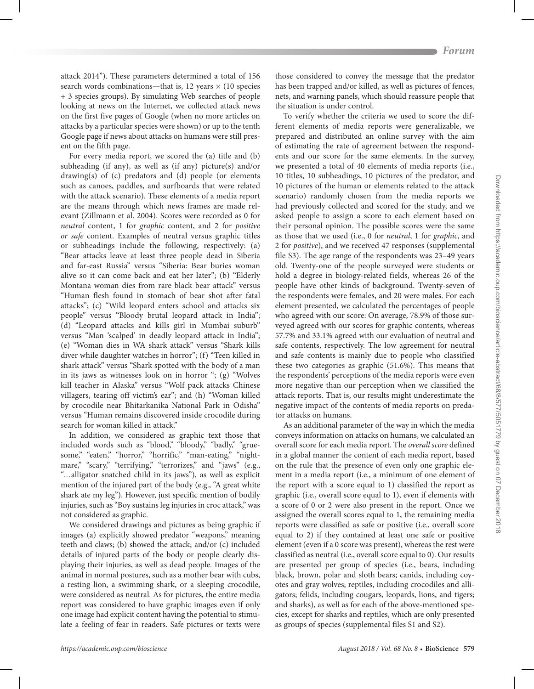attack 2014"). These parameters determined a total of 156 search words combinations—that is, 12 years  $\times$  (10 species + 3 species groups). By simulating Web searches of people looking at news on the Internet, we collected attack news on the first five pages of Google (when no more articles on attacks by a particular species were shown) or up to the tenth Google page if news about attacks on humans were still present on the fifth page.

For every media report, we scored the (a) title and (b) subheading (if any), as well as (if any) picture(s) and/or drawing(s) of (c) predators and (d) people (or elements such as canoes, paddles, and surfboards that were related with the attack scenario). These elements of a media report are the means through which news frames are made relevant (Zillmann et al. 2004). Scores were recorded as 0 for *neutral* content, 1 for *graphic* content, and 2 for *positive or safe* content. Examples of neutral versus graphic titles or subheadings include the following, respectively: (a) "Bear attacks leave at least three people dead in Siberia and far-east Russia" versus "Siberia: Bear buries woman alive so it can come back and eat her later"; (b) "Elderly Montana woman dies from rare black bear attack" versus "Human flesh found in stomach of bear shot after fatal attacks"; (c) "Wild leopard enters school and attacks six people" versus "Bloody brutal leopard attack in India"; (d) "Leopard attacks and kills girl in Mumbai suburb" versus "Man 'scalped' in deadly leopard attack in India"; (e) "Woman dies in WA shark attack" versus "Shark kills diver while daughter watches in horror"; (f) "Teen killed in shark attack" versus "Shark spotted with the body of a man in its jaws as witnesses look on in horror "; (g) "Wolves kill teacher in Alaska" versus "Wolf pack attacks Chinese villagers, tearing off victim's ear"; and (h) "Woman killed by crocodile near Bhitarkanika National Park in Odisha" versus "Human remains discovered inside crocodile during search for woman killed in attack."

In addition, we considered as graphic text those that included words such as "blood," "bloody," "badly," "gruesome," "eaten," "horror," "horrific," "man-eating," "nightmare," "scary," "terrifying," "terrorizes," and "jaws" (e.g., "…alligator snatched child in its jaws"), as well as explicit mention of the injured part of the body (e.g., "A great white shark ate my leg"). However, just specific mention of bodily injuries, such as "Boy sustains leg injuries in croc attack," was not considered as graphic.

We considered drawings and pictures as being graphic if images (a) explicitly showed predator "weapons," meaning teeth and claws; (b) showed the attack; and/or (c) included details of injured parts of the body or people clearly displaying their injuries, as well as dead people. Images of the animal in normal postures, such as a mother bear with cubs, a resting lion, a swimming shark, or a sleeping crocodile, were considered as neutral. As for pictures, the entire media report was considered to have graphic images even if only one image had explicit content having the potential to stimulate a feeling of fear in readers. Safe pictures or texts were

those considered to convey the message that the predator has been trapped and/or killed, as well as pictures of fences, nets, and warning panels, which should reassure people that the situation is under control.

To verify whether the criteria we used to score the different elements of media reports were generalizable, we prepared and distributed an online survey with the aim of estimating the rate of agreement between the respondents and our score for the same elements. In the survey, we presented a total of 40 elements of media reports (i.e., 10 titles, 10 subheadings, 10 pictures of the predator, and 10 pictures of the human or elements related to the attack scenario) randomly chosen from the media reports we had previously collected and scored for the study, and we asked people to assign a score to each element based on their personal opinion. The possible scores were the same as those that we used (i.e., 0 for *neutral*, 1 for *graphic*, and 2 for *positive*), and we received 47 responses (supplemental file S3). The age range of the respondents was 23–49 years old. Twenty-one of the people surveyed were students or hold a degree in biology-related fields, whereas 26 of the people have other kinds of background. Twenty-seven of the respondents were females, and 20 were males. For each element presented, we calculated the percentages of people who agreed with our score: On average, 78.9% of those surveyed agreed with our scores for graphic contents, whereas 57.7% and 33.1% agreed with our evaluation of neutral and safe contents, respectively. The low agreement for neutral and safe contents is mainly due to people who classified these two categories as graphic (51.6%). This means that the respondents' perceptions of the media reports were even more negative than our perception when we classified the attack reports. That is, our results might underestimate the negative impact of the contents of media reports on predator attacks on humans.

As an additional parameter of the way in which the media conveys information on attacks on humans, we calculated an overall score for each media report. The *overall score* defined in a global manner the content of each media report, based on the rule that the presence of even only one graphic element in a media report (i.e., a minimum of one element of the report with a score equal to 1) classified the report as graphic (i.e., overall score equal to 1), even if elements with a score of 0 or 2 were also present in the report. Once we assigned the overall scores equal to 1, the remaining media reports were classified as safe or positive (i.e., overall score equal to 2) if they contained at least one safe or positive element (even if a 0 score was present), whereas the rest were classified as neutral (i.e., overall score equal to 0). Our results are presented per group of species (i.e., bears, including black, brown, polar and sloth bears; canids, including coyotes and gray wolves; reptiles, including crocodiles and alligators; felids, including cougars, leopards, lions, and tigers; and sharks), as well as for each of the above-mentioned species, except for sharks and reptiles, which are only presented as groups of species (supplemental files S1 and S2).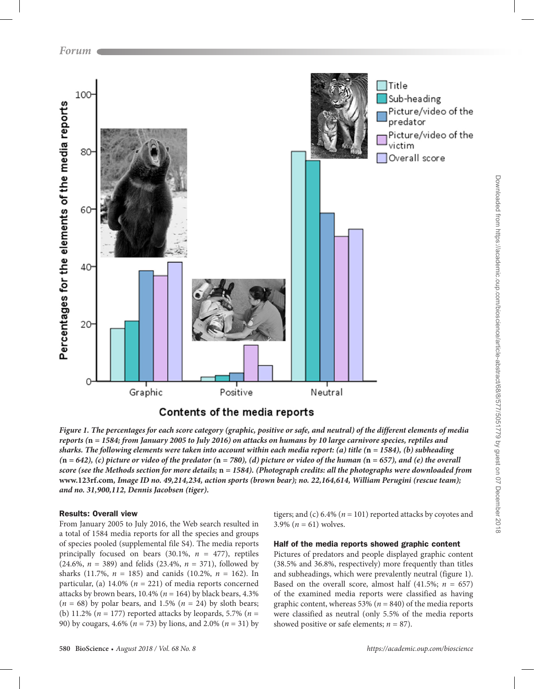

*Figure 1. The percentages for each score category (graphic, positive or safe, and neutral) of the different elements of media reports (***n** *= 1584; from January 2005 to July 2016) on attacks on humans by 10 large carnivore species, reptiles and sharks. The following elements were taken into account within each media report: (a) title (***n** *= 1584), (b) subheading*   $(n = 642)$ , (c) picture or video of the predator  $(n = 780)$ , (d) picture or video of the human  $(n = 657)$ , and (e) the overall *score (see the Methods section for more details;* **n** *= 1584). (Photograph credits: all the photographs were downloaded from*  **www.123rf.com***, Image ID no. 49,214,234, action sports (brown bear); no. 22,164,614, William Perugini (rescue team); and no. 31,900,112, Dennis Jacobsen (tiger).*

# Results: Overall view

From January 2005 to July 2016, the Web search resulted in a total of 1584 media reports for all the species and groups of species pooled (supplemental file S4). The media reports principally focused on bears (30.1%, *n* = 477), reptiles (24.6%, *n* = 389) and felids (23.4%, *n* = 371), followed by sharks (11.7%, *n* = 185) and canids (10.2%, *n* = 162). In particular, (a)  $14.0\%$  ( $n = 221$ ) of media reports concerned attacks by brown bears,  $10.4\%$  ( $n = 164$ ) by black bears,  $4.3\%$  $(n = 68)$  by polar bears, and 1.5%  $(n = 24)$  by sloth bears; (b) 11.2% (*n* = 177) reported attacks by leopards, 5.7% (*n* = 90) by cougars, 4.6% (*n* = 73) by lions, and 2.0% (*n* = 31) by tigers; and (c)  $6.4\%$  ( $n = 101$ ) reported attacks by coyotes and 3.9% ( $n = 61$ ) wolves.

# Half of the media reports showed graphic content

Pictures of predators and people displayed graphic content (38.5% and 36.8%, respectively) more frequently than titles and subheadings, which were prevalently neutral (figure 1). Based on the overall score, almost half  $(41.5\%; n = 657)$ of the examined media reports were classified as having graphic content, whereas 53% (*n* = 840) of the media reports were classified as neutral (only 5.5% of the media reports showed positive or safe elements;  $n = 87$ ).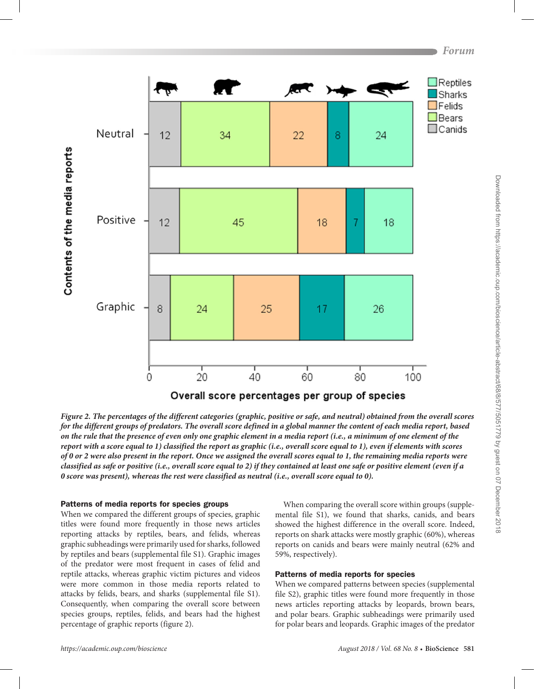

*Figure 2. The percentages of the different categories (graphic, positive or safe, and neutral) obtained from the overall scores for the different groups of predators. The overall score defined in a global manner the content of each media report, based on the rule that the presence of even only one graphic element in a media report (i.e., a minimum of one element of the report with a score equal to 1) classified the report as graphic (i.e., overall score equal to 1), even if elements with scores of 0 or 2 were also present in the report. Once we assigned the overall scores equal to 1, the remaining media reports were classified as safe or positive (i.e., overall score equal to 2) if they contained at least one safe or positive element (even if a 0 score was present), whereas the rest were classified as neutral (i.e., overall score equal to 0).*

#### Patterns of media reports for species groups

When we compared the different groups of species, graphic titles were found more frequently in those news articles reporting attacks by reptiles, bears, and felids, whereas graphic subheadings were primarily used for sharks, followed by reptiles and bears (supplemental file S1). Graphic images of the predator were most frequent in cases of felid and reptile attacks, whereas graphic victim pictures and videos were more common in those media reports related to attacks by felids, bears, and sharks (supplemental file S1). Consequently, when comparing the overall score between species groups, reptiles, felids, and bears had the highest percentage of graphic reports (figure 2).

When comparing the overall score within groups (supplemental file S1), we found that sharks, canids, and bears showed the highest difference in the overall score. Indeed, reports on shark attacks were mostly graphic (60%), whereas reports on canids and bears were mainly neutral (62% and 59%, respectively).

#### Patterns of media reports for species

When we compared patterns between species (supplemental file S2), graphic titles were found more frequently in those news articles reporting attacks by leopards, brown bears, and polar bears. Graphic subheadings were primarily used for polar bears and leopards. Graphic images of the predator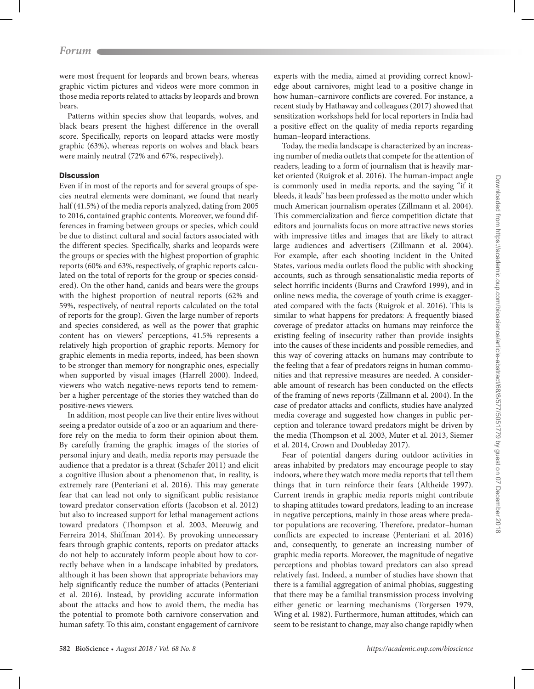were most frequent for leopards and brown bears, whereas graphic victim pictures and videos were more common in those media reports related to attacks by leopards and brown bears.

Patterns within species show that leopards, wolves, and black bears present the highest difference in the overall score. Specifically, reports on leopard attacks were mostly graphic (63%), whereas reports on wolves and black bears were mainly neutral (72% and 67%, respectively).

#### **Discussion**

Even if in most of the reports and for several groups of species neutral elements were dominant, we found that nearly half (41.5%) of the media reports analyzed, dating from 2005 to 2016, contained graphic contents. Moreover, we found differences in framing between groups or species, which could be due to distinct cultural and social factors associated with the different species. Specifically, sharks and leopards were the groups or species with the highest proportion of graphic reports (60% and 63%, respectively, of graphic reports calculated on the total of reports for the group or species considered). On the other hand, canids and bears were the groups with the highest proportion of neutral reports (62% and 59%, respectively, of neutral reports calculated on the total of reports for the group). Given the large number of reports and species considered, as well as the power that graphic content has on viewers' perceptions, 41.5% represents a relatively high proportion of graphic reports. Memory for graphic elements in media reports, indeed, has been shown to be stronger than memory for nongraphic ones, especially when supported by visual images (Harrell 2000). Indeed, viewers who watch negative-news reports tend to remember a higher percentage of the stories they watched than do positive-news viewers.

In addition, most people can live their entire lives without seeing a predator outside of a zoo or an aquarium and therefore rely on the media to form their opinion about them. By carefully framing the graphic images of the stories of personal injury and death, media reports may persuade the audience that a predator is a threat (Schafer 2011) and elicit a cognitive illusion about a phenomenon that, in reality, is extremely rare (Penteriani et al. 2016). This may generate fear that can lead not only to significant public resistance toward predator conservation efforts (Jacobson et al. 2012) but also to increased support for lethal management actions toward predators (Thompson et al. 2003, Meeuwig and Ferreira 2014, Shiffman 2014). By provoking unnecessary fears through graphic contents, reports on predator attacks do not help to accurately inform people about how to correctly behave when in a landscape inhabited by predators, although it has been shown that appropriate behaviors may help significantly reduce the number of attacks (Penteriani et al. 2016). Instead, by providing accurate information about the attacks and how to avoid them, the media has the potential to promote both carnivore conservation and human safety. To this aim, constant engagement of carnivore

experts with the media, aimed at providing correct knowledge about carnivores, might lead to a positive change in how human–carnivore conflicts are covered. For instance, a recent study by Hathaway and colleagues (2017) showed that sensitization workshops held for local reporters in India had a positive effect on the quality of media reports regarding human–leopard interactions.

Today, the media landscape is characterized by an increasing number of media outlets that compete for the attention of readers, leading to a form of journalism that is heavily market oriented (Ruigrok et al. 2016). The human-impact angle is commonly used in media reports, and the saying "if it bleeds, it leads" has been professed as the motto under which much American journalism operates (Zillmann et al. 2004). This commercialization and fierce competition dictate that editors and journalists focus on more attractive news stories with impressive titles and images that are likely to attract large audiences and advertisers (Zillmann et al. 2004). For example, after each shooting incident in the United States, various media outlets flood the public with shocking accounts, such as through sensationalistic media reports of select horrific incidents (Burns and Crawford 1999), and in online news media, the coverage of youth crime is exaggerated compared with the facts (Ruigrok et al. 2016). This is similar to what happens for predators: A frequently biased coverage of predator attacks on humans may reinforce the existing feeling of insecurity rather than provide insights into the causes of these incidents and possible remedies, and this way of covering attacks on humans may contribute to the feeling that a fear of predators reigns in human communities and that repressive measures are needed. A considerable amount of research has been conducted on the effects of the framing of news reports (Zillmann et al. 2004). In the case of predator attacks and conflicts, studies have analyzed media coverage and suggested how changes in public perception and tolerance toward predators might be driven by the media (Thompson et al. 2003, Muter et al. 2013, Siemer et al. 2014, Crown and Doubleday 2017).

Fear of potential dangers during outdoor activities in areas inhabited by predators may encourage people to stay indoors, where they watch more media reports that tell them things that in turn reinforce their fears (Altheide 1997). Current trends in graphic media reports might contribute to shaping attitudes toward predators, leading to an increase in negative perceptions, mainly in those areas where predator populations are recovering. Therefore, predator–human conflicts are expected to increase (Penteriani et al. 2016) and, consequently, to generate an increasing number of graphic media reports. Moreover, the magnitude of negative perceptions and phobias toward predators can also spread relatively fast. Indeed, a number of studies have shown that there is a familial aggregation of animal phobias, suggesting that there may be a familial transmission process involving either genetic or learning mechanisms (Torgersen 1979, Wing et al. 1982). Furthermore, human attitudes, which can seem to be resistant to change, may also change rapidly when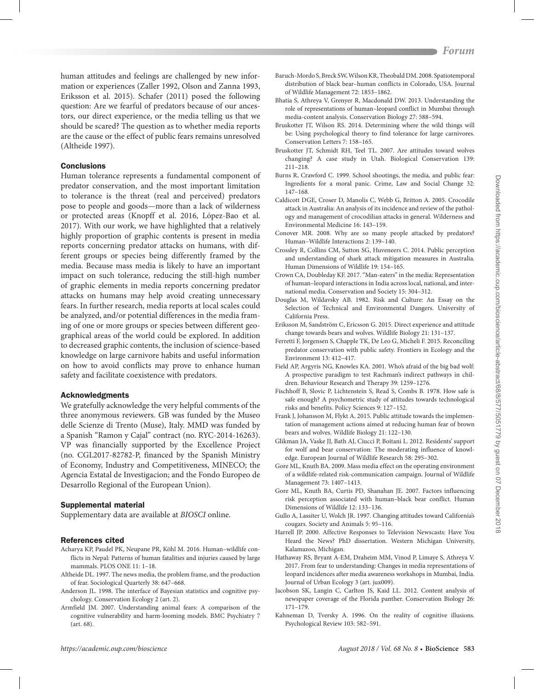human attitudes and feelings are challenged by new information or experiences (Zaller 1992, Olson and Zanna 1993, Eriksson et al. 2015). Schafer (2011) posed the following question: Are we fearful of predators because of our ancestors, our direct experience, or the media telling us that we should be scared? The question as to whether media reports are the cause or the effect of public fears remains unresolved (Altheide 1997).

#### **Conclusions**

Human tolerance represents a fundamental component of predator conservation, and the most important limitation to tolerance is the threat (real and perceived) predators pose to people and goods—more than a lack of wilderness or protected areas (Knopff et al. 2016, López-Bao et al. 2017). With our work, we have highlighted that a relatively highly proportion of graphic contents is present in media reports concerning predator attacks on humans, with different groups or species being differently framed by the media. Because mass media is likely to have an important impact on such tolerance, reducing the still-high number of graphic elements in media reports concerning predator attacks on humans may help avoid creating unnecessary fears. In further research, media reports at local scales could be analyzed, and/or potential differences in the media framing of one or more groups or species between different geographical areas of the world could be explored. In addition to decreased graphic contents, the inclusion of science-based knowledge on large carnivore habits and useful information on how to avoid conflicts may prove to enhance human safety and facilitate coexistence with predators.

#### Acknowledgments

We gratefully acknowledge the very helpful comments of the three anonymous reviewers. GB was funded by the Museo delle Scienze di Trento (Muse), Italy. MMD was funded by a Spanish "Ramon y Cajal" contract (no. RYC-2014-16263). VP was financially supported by the Excellence Project (no. CGL2017-82782-P, financed by the Spanish Ministry of Economy, Industry and Competitiveness, MINECO; the Agencia Estatal de Investigacion; and the Fondo Europeo de Desarrollo Regional of the European Union).

## Supplemental material

Supplementary data are available at *[BIOSCI](https://academic.oup.com/bioscience/article-lookup/doi/10.1093/biosci/biy072#supplementary-data)* online.

#### References cited

- Acharya KP, Paudel PK, Neupane PR, Köhl M. 2016. Human–wildlife conflicts in Nepal: Patterns of human fatalities and injuries caused by large mammals. PLOS ONE 11: 1–18.
- Altheide DL. 1997. The news media, the problem frame, and the production of fear. Sociological Quarterly 38: 647–668.
- Anderson JL. 1998. The interface of Bayesian statistics and cognitive psychology. Conservation Ecology 2 (art. 2).
- Armfield JM. 2007. Understanding animal fears: A comparison of the cognitive vulnerability and harm-looming models. BMC Psychiatry 7 (art. 68).
- Baruch-Mordo S, Breck SW, Wilson KR, Theobald DM. 2008. Spatiotemporal distribution of black bear–human conflicts in Colorado, USA. Journal of Wildlife Management 72: 1853–1862.
- Bhatia S, Athreya V, Grenyer R, Macdonald DW. 2013. Understanding the role of representations of human–leopard conflict in Mumbai through media-content analysis. Conservation Biology 27: 588–594.
- Bruskotter JT, Wilson RS. 2014. Determining where the wild things will be: Using psychological theory to find tolerance for large carnivores. Conservation Letters 7: 158–165.
- Bruskotter JT, Schmidt RH, Teel TL. 2007. Are attitudes toward wolves changing? A case study in Utah. Biological Conservation 139: 211–218.
- Burns R, Crawford C. 1999. School shootings, the media, and public fear: Ingredients for a moral panic. Crime, Law and Social Change 32: 147–168.
- Caldicott DGE, Croser D, Manolis C, Webb G, Britton A. 2005. Crocodile attack in Australia: An analysis of its incidence and review of the pathology and management of crocodilian attacks in general. Wilderness and Environmental Medicine 16: 143–159.
- Conover MR. 2008. Why are so many people attacked by predators? Human–Wildlife Interactions 2: 139–140.
- Crossley R, Collins CM, Sutton SG, Huveneers C. 2014. Public perception and understanding of shark attack mitigation measures in Australia. Human Dimensions of Wildlife 19: 154–165.
- Crown CA, Doubleday KF. 2017. "Man-eaters" in the media: Representation of human–leopard interactions in India across local, national, and international media. Conservation and Society 15: 304–312.
- Douglas M, Wildavsky AB. 1982. Risk and Culture: An Essay on the Selection of Technical and Environmental Dangers. University of California Press.
- Eriksson M, Sandström C, Ericsson G. 2015. Direct experience and attitude change towards bears and wolves. Wildlife Biology 21: 131–137.
- Ferretti F, Jorgensen S, Chapple TK, De Leo G, Micheli F. 2015. Reconciling predator conservation with public safety. Frontiers in Ecology and the Environment 13: 412–417.
- Field AP, Argyris NG, Knowles KA. 2001. Who's afraid of the big bad wolf: A prospective paradigm to test Rachman's indirect pathways in children. Behaviour Research and Therapy 39: 1259–1276.
- Fischhoff B, Slovic P, Lichtenstein S, Read S, Combs B. 1978. How safe is safe enough? A psychometric study of attitudes towards technological risks and benefits. Policy Sciences 9: 127–152.
- Frank J, Johansson M, Flykt A. 2015. Public attitude towards the implementation of management actions aimed at reducing human fear of brown bears and wolves. Wildlife Biology 21: 122–130.
- Glikman JA, Vaske JJ, Bath AJ, Ciucci P, Boitani L. 2012. Residents' support for wolf and bear conservation: The moderating influence of knowledge. European Journal of Wildlife Research 58: 295–302.
- Gore ML, Knuth BA. 2009. Mass media effect on the operating environment of a wildlife-related risk-communication campaign. Journal of Wildlife Management 73: 1407–1413.
- Gore ML, Knuth BA, Curtis PD, Shanahan JE. 2007. Factors influencing risk perception associated with human–black bear conflict. Human Dimensions of Wildlife 12: 133–136.
- Gullo A, Lassiter U, Wolch JR. 1997. Changing attitudes toward California's cougars. Society and Animals 5: 95–116.
- Harrell JP. 2000. Affective Responses to Television Newscasts: Have You Heard the News? PhD dissertation. Western Michigan University, Kalamazoo, Michigan.
- Hathaway RS, Bryant A-EM, Draheim MM, Vinod P, Limaye S, Athreya V. 2017. From fear to understanding: Changes in media representations of leopard incidences after media awareness workshops in Mumbai, India. Journal of Urban Ecology 3 (art. jux009).
- Jacobson SK, Langin C, Carlton JS, Kaid LL. 2012. Content analysis of newspaper coverage of the Florida panther. Conservation Biology 26: 171–179.
- Kahneman D, Tversky A. 1996. On the reality of cognitive illusions. Psychological Review 103: 582–591.